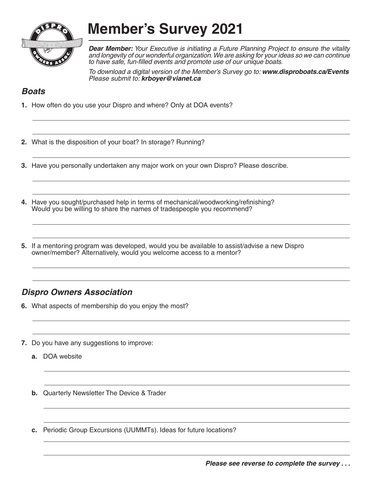

**Member's Survey 2021**

*Dear Member: Your Executive is initiating a Future Planning Project to ensure the vitality and longevity of our wonderful organization. We are asking for your ideas so we can continue to have safe, fun-filled events and promote use of our unique boats.*

*To download a digital version of the Member's Survey go to: www.disproboats.ca/Events Please submit to: krboyer@vianet.ca*

## *Boats*

- **1.** How often do you use your Dispro and where? Only at DOA events?
- **2.** What is the disposition of your boat? In storage? Running?
- **3.** Have you personally undertaken any major work on your own Dispro? Please describe.
- **4.** Have you sought/purchased help in terms of mechanical/woodworking/refinishing? Would you be willing to share the names of tradespeople you recommend?
- **5.** If a mentoring program was developed, would you be available to assist/advise a new Dispro owner/member? Alternatively, would you welcome access to a mentor?

## *Dispro Owners Association*

- **6.** What aspects of membership do you enjoy the most?
- **7.** Do you have any suggestions to improve:
	- **a.** DOA website
	- **b.** Quarterly Newsletter The Device & Trader
	- **c.** Periodic Group Excursions (UUMMTs). Ideas for future locations?